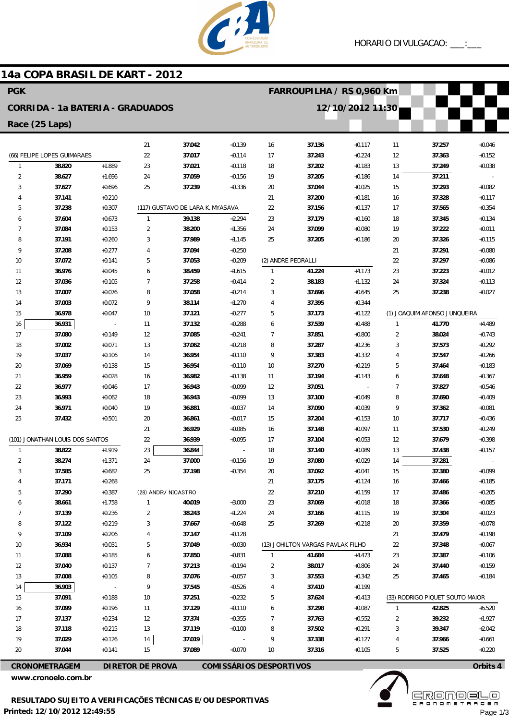

## **14a COPA BRASIL DE KART - 2012**

| <b>PGK</b>                                                                        |                             |                      |                |                                  |                      |                | FARROUPILHA / RS 0,960 Km         |                      |              |                                 |                      |  |
|-----------------------------------------------------------------------------------|-----------------------------|----------------------|----------------|----------------------------------|----------------------|----------------|-----------------------------------|----------------------|--------------|---------------------------------|----------------------|--|
| 12/10/2012 11:30<br><b>CORRIDA - 1a BATERIA - GRADUADOS</b>                       |                             |                      |                |                                  |                      |                |                                   |                      |              |                                 |                      |  |
| Race (25 Laps)                                                                    |                             |                      |                |                                  |                      |                |                                   |                      |              |                                 |                      |  |
|                                                                                   |                             |                      | 21             | 37.042                           | $+0.139$             | 16             | 37.136                            | $+0.117$             | 11           | 37.257                          | $+0.046$             |  |
|                                                                                   | (66) FELIPE LOPES GUIMARAES |                      | 22             | 37.017                           | $+0.114$             | 17             | 37.243                            | $+0.224$             | 12           | 37.363                          | $+0.152$             |  |
| $\mathbf{1}$                                                                      | 38.820                      | $+1.889$             | 23             | 37.021                           | $+0.118$             | 18             | 37.202                            | $+0.183$             | 13           | 37.249                          | $+0.038$             |  |
| $\overline{2}$                                                                    | 38.627                      | $+1.696$             | 24             | 37.059                           | $+0.156$             | 19             | 37.205                            | $+0.186$             | 14           | 37.211                          |                      |  |
| 3                                                                                 | 37.627                      | $+0.696$             | 25             | 37.239                           | $+0.336$             | 20             | 37.044                            | $+0.025$             | 15           | 37.293                          | $+0.082$             |  |
| 4                                                                                 | 37.141                      | $+0.210$             |                |                                  |                      | 21             | 37.200                            | $+0.181$             | 16           | 37.328                          | $+0.117$             |  |
| 5                                                                                 | 37.238                      | $+0.307$             |                | (117) GUSTAVO DE LARA K. MYASAVA |                      | 22             | 37.156                            | $+0.137$             | 17           | 37.565                          | $+0.354$             |  |
| 6                                                                                 | 37.604                      | $+0.673$             | $\overline{1}$ | 39.138                           | $+2.294$             | 23             | 37.179                            | $+0.160$             | 18           | 37.345                          | $+0.134$             |  |
| $\overline{7}$                                                                    | 37.084                      | $+0.153$             | $\overline{2}$ | 38.200                           | $+1.356$             | 24             | 37.099                            | $+0.080$             | 19           | 37.222                          | $+0.011$             |  |
| 8                                                                                 | 37.191                      | $+0.260$             | 3              | 37.989                           | $+1.145$             | 25             | 37.205                            | $+0.186$             | 20           | 37.326                          | $+0.115$             |  |
| 9                                                                                 | 37.208                      | $+0.277$             | 4              | 37.094                           | $+0.250$             |                |                                   |                      | 21           | 37.291                          | $+0.080$             |  |
| 10                                                                                | 37.072                      | $+0.141$             | 5              | 37.053                           | $+0.209$             |                | (2) ANDRE PEDRALLI                |                      | 22           | 37.297                          | $+0.086$             |  |
| 11                                                                                | 36.976                      | $+0.045$             | 6              | 38.459                           | $+1.615$             | $\mathbf{1}$   | 41.224                            | $+4.173$             | 23           | 37.223                          | $+0.012$             |  |
| 12                                                                                | 37.036                      | $+0.105$             | $\overline{7}$ | 37.258                           | $+0.414$             | 2              | 38.183                            | $+1.132$             | 24           | 37.324                          | $+0.113$             |  |
| 13                                                                                | 37.007                      | $+0.076$             | 8              | 37.058                           | $+0.214$             | 3              | 37.696                            | $+0.645$             | 25           | 37.238                          | $+0.027$             |  |
| 14                                                                                | 37.003                      | $+0.072$             | 9              | 38.114                           | $+1.270$             | 4              | 37.395                            | $+0.344$             |              |                                 |                      |  |
| 15                                                                                | 36.978                      | $+0.047$             | 10             | 37.121                           | $+0.277$             | 5              | 37.173                            | $+0.122$             |              | (1) JOAQUIM AFONSO JUNQUEIRA    |                      |  |
| 16                                                                                | 36.931                      |                      | 11             | 37.132                           | $+0.288$             | 6              | 37.539                            | $+0.488$             | $\mathbf{1}$ | 41.770                          | $+4.489$             |  |
| 17                                                                                | 37.080                      | $+0.149$             | 12             | 37.085                           | $+0.241$             | $\overline{7}$ | 37.851                            | $+0.800$             | $\sqrt{2}$   | 38.024                          | $+0.743$             |  |
| 18                                                                                | 37.002                      | $+0.071$             | 13             | 37.062                           | $+0.218$             | 8              | 37.287                            | $+0.236$             | 3            | 37.573                          | $+0.292$             |  |
| 19                                                                                | 37.037                      | $+0.106$             | 14             | 36.954                           | $+0.110$             | 9              | 37.383                            | $+0.332$             | 4            | 37.547                          | $+0.266$             |  |
| 20                                                                                | 37.069                      | $+0.138$             | 15             | 36.954                           | $+0.110$             | 10             | 37.270                            | $+0.219$             | 5            | 37.464                          | $+0.183$             |  |
| 21                                                                                | 36.959                      | $+0.028$             | 16             | 36.982                           | $+0.138$             | 11             | 37.194                            | $+0.143$             | 6            | 37.648                          | $+0.367$             |  |
| 22                                                                                | 36.977                      | $+0.046$             | 17             | 36.943                           | $+0.099$             | 12             | 37.051                            |                      | 7            | 37.827                          | $+0.546$             |  |
| 23                                                                                | 36.993                      | $+0.062$             | 18             | 36.943                           | $+0.099$             | 13             | 37.100                            | $+0.049$             | 8<br>9       | 37.690                          | $+0.409$             |  |
| 24<br>25                                                                          | 36.971                      | $+0.040$<br>$+0.501$ | 19<br>20       | 36.881<br>36.861                 | $+0.037$<br>$+0.017$ | 14             | 37.090<br>37.204                  | $+0.039$             | 10           | 37.362                          | $+0.081$             |  |
|                                                                                   | 37.432                      |                      | 21             | 36.929                           | $+0.085$             | 15<br>16       | 37.148                            | $+0.153$<br>$+0.097$ | 11           | 37.717<br>37.530                | $+0.436$<br>$+0.249$ |  |
| (101) JONATHAN LOUIS DOS SANTOS                                                   |                             |                      | 22             | 36.939                           | $+0.095$             | 17             | 37.104                            | $+0.053$             | 12           | 37.679                          | $+0.398$             |  |
| $\mathbf{1}$                                                                      | 38.822                      | $+1.919$             | 23             | 36.844                           |                      | 18             | 37.140                            | $+0.089$             | 13           | 37.438                          | $+0.157$             |  |
| 2                                                                                 | 38.274                      | $+1.371$             | 24             | 37.000                           | $+0.156$             | 19             | 37.080                            | $+0.029$             | 14           | 37.281                          |                      |  |
| 3                                                                                 | 37.585                      | $+0.682$             | 25             | 37.198                           | $+0.354$             | 20             | 37.092                            | $+0.041$             | 15           | 37.380                          | $+0.099$             |  |
|                                                                                   | 37.171                      | $+0.268$             |                |                                  |                      | 21             | 37.175                            | $+0.124$             | 16           | 37.466                          | $+0.185$             |  |
| 5                                                                                 | 37.290                      | $+0.387$             |                | (28) ANDR/ NICASTRO              |                      | 22             | 37.210                            | $+0.159$             | 17           | 37.486                          | $+0.205$             |  |
| 6                                                                                 | 38.661                      | $+1.758$             | $\mathbf{1}$   | 40.019                           | $+3.000$             | 23             | 37.069                            | $+0.018$             | 18           | 37.366                          | $+0.085$             |  |
| $\overline{7}$                                                                    | 37.139                      | $+0.236$             | $\overline{2}$ | 38.243                           | $+1.224$             | 24             | 37.166                            | $+0.115$             | 19           | 37.304                          | $+0.023$             |  |
| 8                                                                                 | 37.122                      | $+0.219$             | 3              | 37.667                           | $+0.648$             | 25             | 37.269                            | $+0.218$             | 20           | 37.359                          | $+0.078$             |  |
| 9                                                                                 | 37.109                      | $+0.206$             | 4              | 37.147                           | $+0.128$             |                |                                   |                      | 21           | 37.479                          | $+0.198$             |  |
| 10                                                                                | 36.934                      | $+0.031$             | 5              | 37.049                           | $+0.030$             |                | (13) JOHILTON VARGAS PAVLAK FILHO |                      | 22           | 37.348                          | $+0.067$             |  |
| 11                                                                                | 37.088                      | $+0.185$             | 6              | 37.850                           | $+0.831$             | $\mathbf{1}$   | 41.684                            | $+4.473$             | 23           | 37.387                          | $+0.106$             |  |
| 12                                                                                | 37.040                      | $+0.137$             | 7              | 37.213                           | $+0.194$             | $\overline{2}$ | 38.017                            | $+0.806$             | 24           | 37.440                          | $+0.159$             |  |
| 13                                                                                | 37.008                      | $+0.105$             | 8              | 37.076                           | $+0.057$             | 3              | 37.553                            | $+0.342$             | 25           | 37.465                          | $+0.184$             |  |
| 14                                                                                | 36.903                      |                      | 9              | 37.545                           | $+0.526$             | 4              | 37.410                            | $+0.199$             |              |                                 |                      |  |
| 15                                                                                | 37.091                      | $+0.188$             | 10             | 37.251                           | $+0.232$             | 5              | 37.624                            | $+0.413$             |              | (33) RODRIGO PIQUET SOUTO MAIOR |                      |  |
| 16                                                                                | 37.099                      | $+0.196$             | 11             | 37.129                           | $+0.110$             | 6              | 37.298                            | $+0.087$             | 1            | 42.825                          | $+5.520$             |  |
| 17                                                                                | 37.137                      | $+0.234$             | 12             | 37.374                           | $+0.355$             | 7              | 37.763                            | $+0.552$             | 2            | 39.232                          | $+1.927$             |  |
| 18                                                                                | 37.118                      | $+0.215$             | 13             | 37.119                           | $+0.100$             | 8              | 37.502                            | $+0.291$             | 3            | 39.347                          | $+2.042$             |  |
| 19                                                                                | 37.029                      | $+0.126$             | 14             | 37.019                           |                      | 9              | 37.338                            | $+0.127$             |              | 37.966                          | $+0.661$             |  |
| 20                                                                                | 37.044                      | $+0.141$             | 15             | 37.089                           | $+0.070$             | 10             | 37.316                            | $+0.105$             | 5            | 37.525                          | $+0.220$             |  |
| <b>COMISSÁRIOS DESPORTIVOS</b><br><b>CRONOMETRAGEM</b><br><b>DIRETOR DE PROVA</b> |                             |                      |                |                                  |                      |                |                                   |                      | Orbits 4     |                                 |                      |  |

**www.cronoelo.com.br**



Page 1/3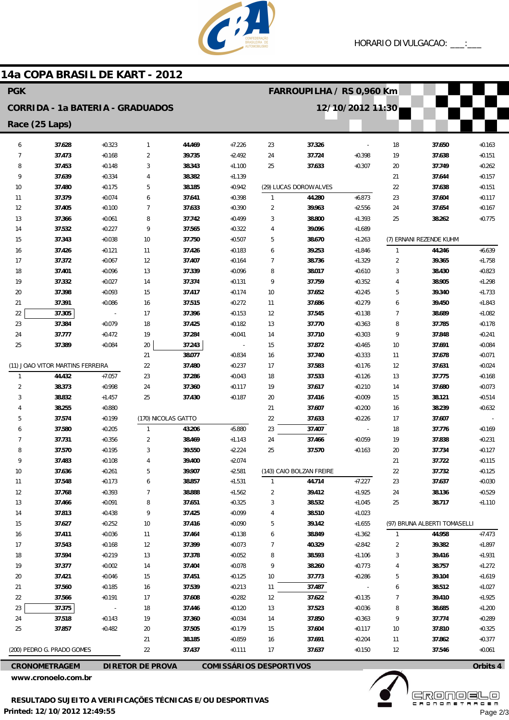

## **14a COPA BRASIL DE KART - 2012**

| <b>PGK</b>                              |                                  |                          |                                       |                  |                                |                | FARROUPILHA / RS 0,960 Km |                      |                |                              |                      |  |
|-----------------------------------------|----------------------------------|--------------------------|---------------------------------------|------------------|--------------------------------|----------------|---------------------------|----------------------|----------------|------------------------------|----------------------|--|
| <b>CORRIDA - 1a BATERIA - GRADUADOS</b> |                                  |                          |                                       |                  |                                |                |                           | 12/10/2012 11:30     |                |                              |                      |  |
| Race (25 Laps)                          |                                  |                          |                                       |                  |                                |                |                           |                      |                |                              |                      |  |
| 6                                       | 37.628                           | $+0.323$                 | $\mathbf{1}$                          | 44.469           | $+7.226$                       | 23             | 37.326                    |                      | 18             | 37.650                       | $+0.163$             |  |
| 7                                       | 37.473                           | $+0.168$                 | $\overline{2}$                        | 39.735           | $+2.492$                       | 24             | 37.724                    | $+0.398$             | 19             | 37.638                       | $+0.151$             |  |
| 8                                       | 37.453                           | $+0.148$                 | 3                                     | 38.343           | $+1.100$                       | 25             | 37.633                    | $+0.307$             | 20             | 37.749                       | $+0.262$             |  |
| 9                                       | 37.639                           | $+0.334$                 | 4                                     | 38.382           | $+1.139$                       |                |                           |                      | 21             | 37.644                       | $+0.157$             |  |
| 10                                      | 37.480                           | $+0.175$                 | 5                                     | 38.185           | $+0.942$                       |                | (29) LUCAS DOROW ALVES    |                      | 22             | 37.638                       | $+0.151$             |  |
| 11                                      | 37.379                           | $+0.074$                 | 6                                     | 37.641           | $+0.398$                       | $\mathbf{1}$   | 44.280                    | $+6.873$             | 23             | 37.604                       | $+0.117$             |  |
| 12                                      | 37.405                           | $+0.100$                 | $\overline{7}$                        | 37.633           | $+0.390$                       | $\overline{2}$ | 39.963                    | $+2.556$             | 24             | 37.654                       | $+0.167$             |  |
| 13                                      | 37.366                           | $+0.061$                 | 8                                     | 37.742           | $+0.499$                       | 3              | 38.800                    | $+1.393$             | 25             | 38.262                       | $+0.775$             |  |
| 14                                      | 37.532                           | $+0.227$                 | 9                                     | 37.565           | $+0.322$                       | 4              | 39.096                    | $+1.689$             |                |                              |                      |  |
| 15                                      | 37.343                           | $+0.038$                 | 10                                    | 37.750           | $+0.507$                       | 5              | 38.670                    | $+1.263$             |                | (7) ERNANI REZENDE KUHM      |                      |  |
| 16                                      | 37.426                           | $+0.121$                 | 11                                    | 37.426           | $+0.183$                       | 6              | 39.253                    | $+1.846$             | $\mathbf{1}$   | 44.246                       | $+6.639$             |  |
| 17                                      | 37.372                           | $+0.067$                 | 12                                    | 37.407           | $+0.164$                       | $\overline{7}$ | 38.736                    | $+1.329$             | $\overline{2}$ | 39.365                       | $+1.758$             |  |
| 18                                      | 37.401                           | $+0.096$                 | 13                                    | 37.339           | $+0.096$                       | 8              | 38.017                    | $+0.610$             | 3              | 38.430                       | $+0.823$             |  |
| 19                                      | 37.332                           | $+0.027$                 | 14                                    | 37.374           | $+0.131$                       | 9              | 37.759                    | $+0.352$             | 4              | 38.905                       | $+1.298$             |  |
| 20                                      | 37.398                           | $+0.093$                 | 15                                    | 37.417           | $+0.174$                       | 10             | 37.652                    | $+0.245$             | 5              | 39.340                       | $+1.733$             |  |
| 21                                      | 37.391                           | $+0.086$                 | 16                                    | 37.515           | $+0.272$                       | 11             | 37.686                    | $+0.279$             | 6              | 39.450                       | $+1.843$             |  |
| 22                                      | 37.305                           | $\overline{\phantom{a}}$ | 17                                    | 37.396           | $+0.153$                       | 12             | 37.545                    | $+0.138$             | $\overline{7}$ | 38.689                       | $+1.082$             |  |
| 23                                      | 37.384                           | $+0.079$                 | 18                                    | 37.425           | $+0.182$                       | 13             | 37.770                    | $+0.363$             | 8              | 37.785                       | $+0.178$             |  |
| 24                                      | 37.777                           | $+0.472$                 | 19                                    | 37.284           | $+0.041$                       | 14             | 37.710                    | $+0.303$             | 9              | 37.848                       | $+0.241$             |  |
| 25                                      | 37.389                           | $+0.084$                 | 20                                    | 37.243           | $\sim$                         | 15             | 37.872                    | $+0.465$             | 10             | 37.691                       | $+0.084$             |  |
|                                         |                                  |                          | 21                                    | 38.077           | $+0.834$                       | 16             | 37.740                    | $+0.333$             | 11             | 37.678                       | $+0.071$             |  |
|                                         | (11) JOAO VITOR MARTINS FERREIRA |                          | 22                                    | 37.480           | $+0.237$                       | 17             | 37.583                    | $+0.176$             | 12             | 37.631                       | $+0.024$             |  |
| $\mathbf{1}$                            | 44.432                           | $+7.057$                 | 23                                    | 37.286           | $+0.043$                       | 18             | 37.533                    | $+0.126$             | 13             | 37.775                       | $+0.168$             |  |
| $\overline{2}$                          | 38.373                           | $+0.998$                 | 24                                    | 37.360           | $+0.117$                       | 19             | 37.617                    | $+0.210$             | 14             | 37.680                       | $+0.073$             |  |
| 3                                       | 38.832                           | $+1.457$                 | 25                                    | 37.430           | $+0.187$                       | 20             | 37.416                    | $+0.009$             | 15             | 38.121                       | $+0.514$             |  |
| $\overline{4}$                          | 38.255                           | $+0.880$                 |                                       |                  |                                | 21             | 37.607                    | $+0.200$             | 16             | 38.239                       | $+0.632$             |  |
| 5                                       | 37.574                           | $+0.199$                 | (170) NICOLAS GATTO<br>$\overline{1}$ |                  |                                | 22             | 37.633                    | $+0.226$             | 17             | 37.607                       |                      |  |
| 6<br>7                                  | 37.580                           | $+0.205$                 |                                       | 43.206           | $+5.880$                       | 23             | 37.407                    |                      | 18             | 37.776                       | $+0.169$             |  |
| 8                                       | 37.731<br>37.570                 | $+0.356$<br>$+0.195$     | 2<br>3                                | 38.469<br>39.550 | $+1.143$<br>$+2.224$           | 24<br>25       | 37.466<br>37.570          | $+0.059$<br>$+0.163$ | 19<br>20       | 37.838<br>37.734             | $+0.231$<br>$+0.127$ |  |
| 9                                       | 37.483                           | $+0.108$                 | 4                                     | 39.400           | $+2.074$                       |                |                           |                      | 21             | 37.722                       | $+0.115$             |  |
| 10                                      | 37.636                           | $+0.261$                 | 5                                     | 39.907           | $+2.581$                       |                | (143) CAIO BOLZAN FREIRE  |                      | 22             | 37.732                       | $+0.125$             |  |
| 11                                      | 37.548                           | $+0.173$                 | 6                                     | 38.857           | $+1.531$                       | $\mathbf{1}$   | 44.714                    | $+7.227$             | 23             | 37.637                       | $+0.030$             |  |
| 12                                      | 37.768                           | $+0.393$                 | 7                                     | 38.888           | $+1.562$                       | $\overline{2}$ | 39.412                    | $+1.925$             | 24             | 38.136                       | $+0.529$             |  |
| 13                                      | 37.466                           | $+0.091$                 | 8                                     | 37.651           | $+0.325$                       | 3              | 38.532                    | $+1.045$             | 25             | 38.717                       | $+1.110$             |  |
| 14                                      | 37.813                           | $+0.438$                 | 9                                     | 37.425           | $+0.099$                       | 4              | 38.510                    | $+1.023$             |                |                              |                      |  |
| 15                                      | 37.627                           | $+0.252$                 | 10                                    | 37.416           | $+0.090$                       | 5              | 39.142                    | $+1.655$             |                | (97) BRUNA ALBERTI TOMASELLI |                      |  |
| 16                                      | 37.411                           | $+0.036$                 | 11                                    | 37.464           | $+0.138$                       | 6              | 38.849                    | $+1.362$             | $\overline{1}$ | 44.958                       | $+7.473$             |  |
| 17                                      | 37.543                           | $+0.168$                 | 12                                    | 37.399           | $+0.073$                       | 7              | 40.329                    | $+2.842$             | $\overline{c}$ | 39.382                       | $+1.897$             |  |
| 18                                      | 37.594                           | $+0.219$                 | 13                                    | 37.378           | $+0.052$                       | 8              | 38.593                    | $+1.106$             | 3              | 39.416                       | $+1.931$             |  |
| 19                                      | 37.377                           | $+0.002$                 | 14                                    | 37.404           | $+0.078$                       | 9              | 38.260                    | $+0.773$             | 4              | 38.757                       | $+1.272$             |  |
| 20                                      | 37.421                           | $+0.046$                 | 15                                    | 37.451           | $+0.125$                       | 10             | 37.773                    | $+0.286$             | 5              | 39.104                       | $+1.619$             |  |
| 21                                      | 37.560                           | $+0.185$                 | 16                                    | 37.539           | $+0.213$                       | 11             | 37.487                    |                      | 6              | 38.512                       | $+1.027$             |  |
| 22                                      | 37.566                           | $+0.191$                 | 17                                    | 37.608           | $+0.282$                       | 12             | 37.622                    | $+0.135$             | 7              | 39.410                       | $+1.925$             |  |
| 23                                      | 37.375                           |                          | 18                                    | 37.446           | $+0.120$                       | 13             | 37.523                    | $+0.036$             | 8              | 38.685                       | $+1.200$             |  |
| 24                                      | 37.518                           | $+0.143$                 | 19                                    | 37.360           | $+0.034$                       | 14             | 37.850                    | $+0.363$             | 9              | 37.774                       | $+0.289$             |  |
| 25                                      | 37.857                           | $+0.482$                 | 20                                    | 37.505           | $+0.179$                       | 15             | 37.604                    | $+0.117$             | 10             | 37.810                       | $+0.325$             |  |
|                                         |                                  |                          | 21                                    | 38.185           | $+0.859$                       | 16             | 37.691                    | $+0.204$             | 11             | 37.862                       | $+0.377$             |  |
|                                         | (200) PEDRO G. PRADO GOMES       |                          | 22                                    | 37.437           | $+0.111$                       | 17             | 37.637                    | $+0.150$             | 12             | 37.546                       | $+0.061$             |  |
|                                         | <b>CRONOMETRAGEM</b>             |                          | <b>DIRETOR DE PROVA</b>               |                  | <b>COMISSÁRIOS DESPORTIVOS</b> |                |                           |                      |                |                              | Orbits 4             |  |

**www.cronoelo.com.br**

**www.mylaps.com Licensed to: Cronoelo** Page 2/3